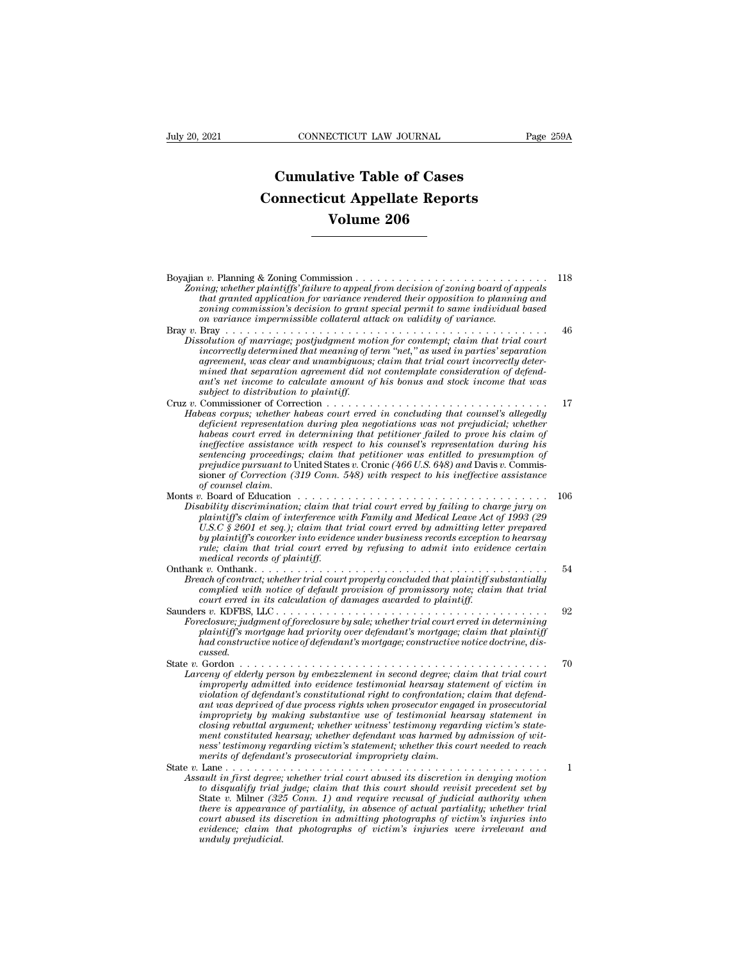## **CONNECTICUT LAW JOURNAL**<br> **Cumulative Table of Cases<br>
pnnecticut Appellate Reports CONNECTICUT LAW JOURNAL** Pag<br> **Cumulative Table of Cases**<br> **Connecticut Appellate Reports<br>
Volume 206 ECTICUT LAW JOURNAL**<br> **Volume 206**<br> **Volume 206**

| Volume 206                                                                                                                                                                                                                                                                                                                                                                                                                                                                                                                                                                                                                                                                                                                                                        |     |
|-------------------------------------------------------------------------------------------------------------------------------------------------------------------------------------------------------------------------------------------------------------------------------------------------------------------------------------------------------------------------------------------------------------------------------------------------------------------------------------------------------------------------------------------------------------------------------------------------------------------------------------------------------------------------------------------------------------------------------------------------------------------|-----|
|                                                                                                                                                                                                                                                                                                                                                                                                                                                                                                                                                                                                                                                                                                                                                                   |     |
| Zoning; whether plaintiffs' failure to appeal from decision of zoning board of appeals<br>that granted application for variance rendered their opposition to planning and<br>zoning commission's decision to grant special permit to same individual based<br>on variance impermissible collateral attack on validity of variance.                                                                                                                                                                                                                                                                                                                                                                                                                                | 118 |
| Dissolution of marriage; postjudgment motion for contempt; claim that trial court<br>incorrectly determined that meaning of term "net," as used in parties' separation<br>agreement, was clear and unambiguous; claim that trial court incorrectly deter-<br>mined that separation agreement did not contemplate consideration of defend-<br>ant's net income to calculate amount of his bonus and stock income that was<br>subject to distribution to plaintiff.                                                                                                                                                                                                                                                                                                 | 46  |
| Habeas corpus; whether habeas court erred in concluding that counsel's allegedly<br>deficient representation during plea negotiations was not prejudicial; whether<br>habeas court erred in determining that petitioner failed to prove his claim of<br>ineffective assistance with respect to his counsel's representation during his<br>sentencing proceedings; claim that petitioner was entitled to presumption of<br><i>prejudice pursuant to</i> United States v. Cronic (466 U.S. 648) and Davis v. Commis-<br>sioner of Correction (319 Conn. 548) with respect to his ineffective assistance<br>of counsel claim.                                                                                                                                        | 17  |
| Monts v. Board of Education $\dots \dots \dots \dots \dots \dots \dots \dots \dots \dots \dots \dots \dots \dots$<br>Disability discrimination; claim that trial court erred by failing to charge jury on<br>plaintiff's claim of interference with Family and Medical Leave Act of 1993 (29<br>U.S.C $\frac{6}{5}$ 2601 et seq.); claim that trial court erred by admitting letter prepared<br>by plaintiff's coworker into evidence under business records exception to hearsay<br>rule; claim that trial court erred by refusing to admit into evidence certain<br>medical records of plaintiff.                                                                                                                                                               | 106 |
| Breach of contract; whether trial court properly concluded that plaintiff substantially<br>complied with notice of default provision of promissory note; claim that trial<br>court erred in its calculation of damages awarded to plaintiff.                                                                                                                                                                                                                                                                                                                                                                                                                                                                                                                      | 54  |
| Foreclosure; judgment of foreclosure by sale; whether trial court erred in determining<br>plaintiff's mortgage had priority over defendant's mortgage; claim that plaintiff<br>had constructive notice of defendant's mortgage; constructive notice doctrine, dis-<br>cussed.                                                                                                                                                                                                                                                                                                                                                                                                                                                                                     | 92  |
| State v. Gordon.<br>.<br>Larceny of elderly person by embezzlement in second degree; claim that trial court<br>improperly admitted into evidence testimonial hearsay statement of victim in<br>violation of defendant's constitutional right to confrontation; claim that defend-<br>ant was deprived of due process rights when prosecutor engaged in prosecutorial<br>impropriety by making substantive use of testimonial hearsay statement in<br>closing rebuttal argument; whether witness' testimony regarding victim's state-<br>ment constituted hearsay; whether defendant was harmed by admission of wit-<br>ness' testimony regarding victim's statement; whether this court needed to reach<br>merits of defendant's prosecutorial impropriety claim. | 70  |
| Assault in first degree; whether trial court abused its discretion in denying motion<br>to disqualify trial judge; claim that this court should revisit precedent set by<br>State v. Milner (325 Conn. 1) and require recusal of judicial authority when<br>there is appearance of partiality, in absence of actual partiality; whether trial<br>court abused its discretion in admitting photographs of victim's injuries into<br>evidence; claim that photographs of victim's injuries were irrelevant and<br>unduly prejudicial.                                                                                                                                                                                                                               | 1   |